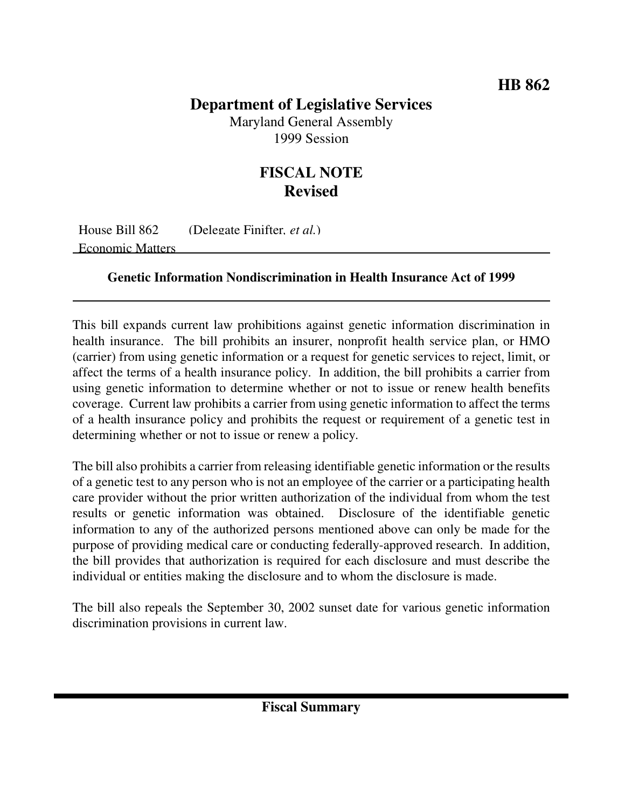## **Department of Legislative Services**

Maryland General Assembly 1999 Session

## **FISCAL NOTE Revised**

House Bill 862 (Delegate Finifter*, et al.*) Economic Matters

## **Genetic Information Nondiscrimination in Health Insurance Act of 1999**

This bill expands current law prohibitions against genetic information discrimination in health insurance. The bill prohibits an insurer, nonprofit health service plan, or HMO (carrier) from using genetic information or a request for genetic services to reject, limit, or affect the terms of a health insurance policy. In addition, the bill prohibits a carrier from using genetic information to determine whether or not to issue or renew health benefits coverage. Current law prohibits a carrier from using genetic information to affect the terms of a health insurance policy and prohibits the request or requirement of a genetic test in determining whether or not to issue or renew a policy.

The bill also prohibits a carrier from releasing identifiable genetic information or the results of a genetic test to any person who is not an employee of the carrier or a participating health care provider without the prior written authorization of the individual from whom the test results or genetic information was obtained. Disclosure of the identifiable genetic information to any of the authorized persons mentioned above can only be made for the purpose of providing medical care or conducting federally-approved research. In addition, the bill provides that authorization is required for each disclosure and must describe the individual or entities making the disclosure and to whom the disclosure is made.

The bill also repeals the September 30, 2002 sunset date for various genetic information discrimination provisions in current law.